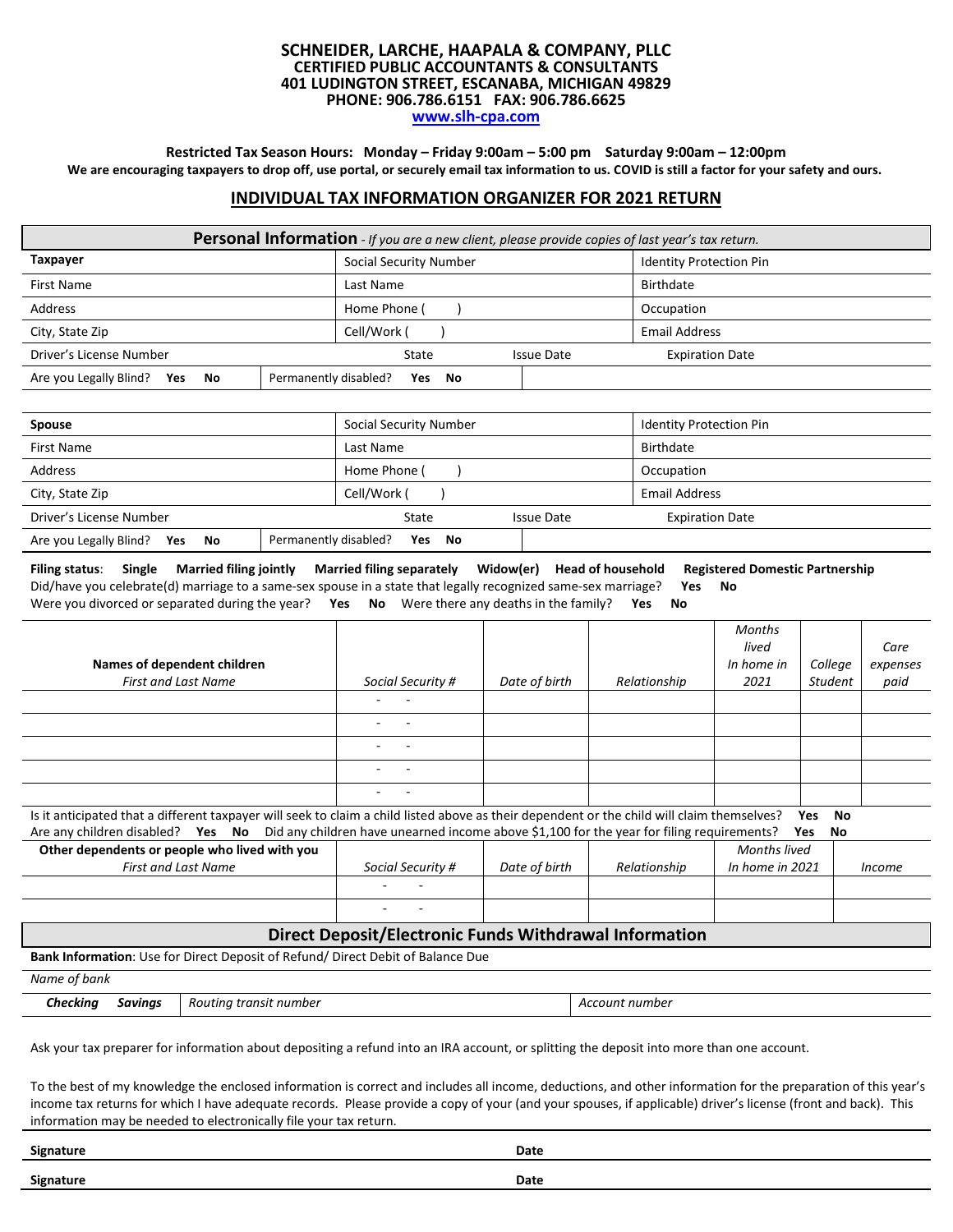## **SCHNEIDER, LARCHE, HAAPALA & COMPANY, PLLC CERTIFIED PUBLIC ACCOUNTANTS & CONSULTANTS 401 LUDINGTON STREET, ESCANABA, MICHIGAN 49829 PHONE: 906.786.6151 FAX: 906.786.6625 [www.slh-cpa.com](http://www.slh-cpa.com/)**

**Restricted Tax Season Hours: Monday – Friday 9:00am – 5:00 pm Saturday 9:00am – 12:00pm We are encouraging taxpayers to drop off, use portal, or securely email tax information to us. COVID is still a factor for your safety and ours.**

## **INDIVIDUAL TAX INFORMATION ORGANIZER FOR 2021 RETURN**

| Personal Information - If you are a new client, please provide copies of last year's tax return. |                                |  |  |  |  |  |  |  |
|--------------------------------------------------------------------------------------------------|--------------------------------|--|--|--|--|--|--|--|
| Social Security Number                                                                           | <b>Identity Protection Pin</b> |  |  |  |  |  |  |  |
| Last Name                                                                                        | Birthdate                      |  |  |  |  |  |  |  |
| Home Phone (                                                                                     | Occupation                     |  |  |  |  |  |  |  |
| Cell/Work (                                                                                      | <b>Email Address</b>           |  |  |  |  |  |  |  |
| State<br>Issue Date                                                                              | <b>Expiration Date</b>         |  |  |  |  |  |  |  |
| Permanently disabled?<br>No<br>Yes                                                               |                                |  |  |  |  |  |  |  |
|                                                                                                  |                                |  |  |  |  |  |  |  |
| Social Security Number                                                                           | <b>Identity Protection Pin</b> |  |  |  |  |  |  |  |
|                                                                                                  |                                |  |  |  |  |  |  |  |

| ------                           |                                    |                   |                        |
|----------------------------------|------------------------------------|-------------------|------------------------|
| First Name                       | Last Name                          |                   | Birthdate              |
| Address                          | Home Phone (                       |                   | Occupation             |
| City, State Zip                  | Cell/Work (                        |                   | Email Address          |
| Driver's License Number          | State                              | <b>Issue Date</b> | <b>Expiration Date</b> |
| Are you Legally Blind? Yes<br>No | Permanently disabled?<br>No<br>Yes |                   |                        |

**Filing status**: **Single Married filing jointly Married filing separately Widow(er) Head of household Registered Domestic Partnership** Did/have you celebrate(d) marriage to a same-sex spouse in a state that legally recognized same-sex marriage? **Yes No** Were you divorced or separated during the year? **Yes No** Were there any deaths in the family? **Yes No**

| Names of dependent children                                                                                                                |                   |               |              | <b>Months</b><br>lived<br>In home in | College        | Care<br>expenses |
|--------------------------------------------------------------------------------------------------------------------------------------------|-------------------|---------------|--------------|--------------------------------------|----------------|------------------|
| <b>First and Last Name</b>                                                                                                                 | Social Security # | Date of birth | Relationship | 2021                                 | <b>Student</b> | paid             |
|                                                                                                                                            |                   |               |              |                                      |                |                  |
|                                                                                                                                            |                   |               |              |                                      |                |                  |
|                                                                                                                                            |                   |               |              |                                      |                |                  |
|                                                                                                                                            |                   |               |              |                                      |                |                  |
|                                                                                                                                            |                   |               |              |                                      |                |                  |
| Is it anticipated that a different taxpayer will seek to claim a child listed above as their dependent or the child will claim themselves? |                   |               |              |                                      | No<br>Yes      |                  |
| Are any children disabled? Yes No Did any children have unearned income above \$1,100 for the year for filing requirements?                |                   |               |              |                                      | No<br>Yes      |                  |
| Other dependents or people who lived with you                                                                                              |                   |               |              | Months lived                         |                |                  |

|                            | Direct Deposit/Electronic Funds Withdrawal Information |               |              |                 |               |
|----------------------------|--------------------------------------------------------|---------------|--------------|-----------------|---------------|
|                            |                                                        |               |              |                 |               |
|                            |                                                        |               |              |                 |               |
| <b>First and Last Name</b> | Social Security #                                      | Date of birth | Relationship | In home in 2021 | <i>Income</i> |
|                            |                                                        |               |              | .               |               |

**Bank Information**: Use for Direct Deposit of Refund/ Direct Debit of Balance Due

*Name of bank*

 *Checking Savings Routing transit number Account number*

Ask your tax preparer for information about depositing a refund into an IRA account, or splitting the deposit into more than one account.

To the best of my knowledge the enclosed information is correct and includes all income, deductions, and other information for the preparation of this year's income tax returns for which I have adequate records. Please provide a copy of your (and your spouses, if applicable) driver's license (front and back). This information may be needed to electronically file your tax return.

| Signature        | Date |
|------------------|------|
| <b>Signature</b> | Date |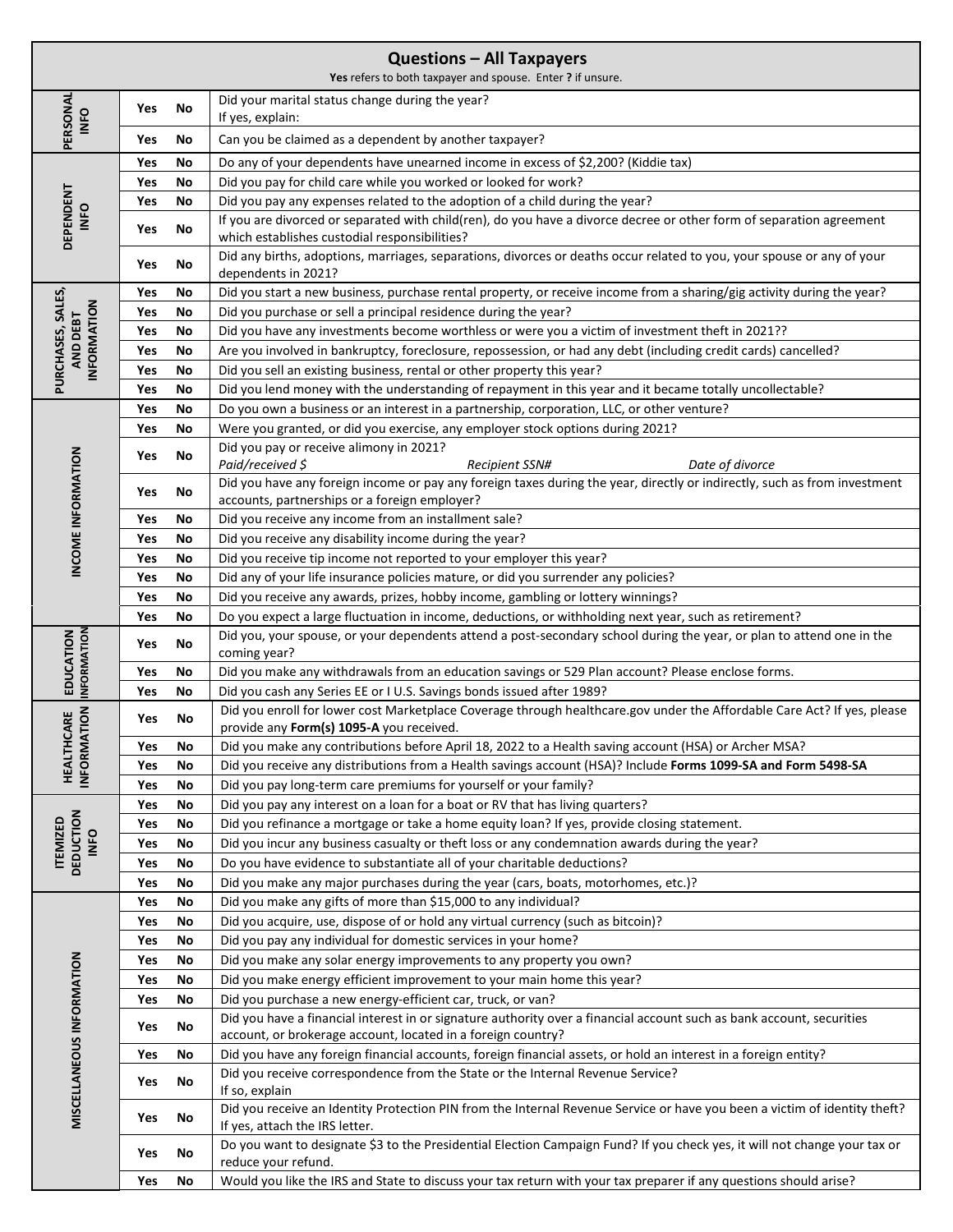|                                                                                                                                                                                                                                                                     |            |          | <b>Questions - All Taxpayers</b><br>Yes refers to both taxpayer and spouse. Enter? if unsure.                                                                                                    |  |  |
|---------------------------------------------------------------------------------------------------------------------------------------------------------------------------------------------------------------------------------------------------------------------|------------|----------|--------------------------------------------------------------------------------------------------------------------------------------------------------------------------------------------------|--|--|
| PERSONAL<br><b>INFO</b>                                                                                                                                                                                                                                             | Yes        | No       | Did your marital status change during the year?<br>If yes, explain:                                                                                                                              |  |  |
|                                                                                                                                                                                                                                                                     | Yes        | No       | Can you be claimed as a dependent by another taxpayer?                                                                                                                                           |  |  |
|                                                                                                                                                                                                                                                                     | Yes        | No       | Do any of your dependents have unearned income in excess of \$2,200? (Kiddie tax)                                                                                                                |  |  |
|                                                                                                                                                                                                                                                                     | Yes        | No       | Did you pay for child care while you worked or looked for work?                                                                                                                                  |  |  |
|                                                                                                                                                                                                                                                                     | Yes        | No       | Did you pay any expenses related to the adoption of a child during the year?                                                                                                                     |  |  |
| <b>DEPENDENT</b><br><b>INFO</b>                                                                                                                                                                                                                                     | Yes        | No       | If you are divorced or separated with child(ren), do you have a divorce decree or other form of separation agreement<br>which establishes custodial responsibilities?                            |  |  |
|                                                                                                                                                                                                                                                                     | Yes        | No       | Did any births, adoptions, marriages, separations, divorces or deaths occur related to you, your spouse or any of your<br>dependents in 2021?                                                    |  |  |
|                                                                                                                                                                                                                                                                     | Yes        | No       | Did you start a new business, purchase rental property, or receive income from a sharing/gig activity during the year?                                                                           |  |  |
| PURCHASES, SALES,<br>INFORMATION                                                                                                                                                                                                                                    | Yes        | No       | Did you purchase or sell a principal residence during the year?                                                                                                                                  |  |  |
| AND DEBT                                                                                                                                                                                                                                                            | Yes        | No       | Did you have any investments become worthless or were you a victim of investment theft in 2021??                                                                                                 |  |  |
|                                                                                                                                                                                                                                                                     | Yes        | No       | Are you involved in bankruptcy, foreclosure, repossession, or had any debt (including credit cards) cancelled?                                                                                   |  |  |
|                                                                                                                                                                                                                                                                     | Yes        | No       | Did you sell an existing business, rental or other property this year?                                                                                                                           |  |  |
|                                                                                                                                                                                                                                                                     | Yes        | No       | Did you lend money with the understanding of repayment in this year and it became totally uncollectable?                                                                                         |  |  |
|                                                                                                                                                                                                                                                                     | Yes        | No       | Do you own a business or an interest in a partnership, corporation, LLC, or other venture?                                                                                                       |  |  |
|                                                                                                                                                                                                                                                                     | Yes        | No       | Were you granted, or did you exercise, any employer stock options during 2021?                                                                                                                   |  |  |
|                                                                                                                                                                                                                                                                     | Yes        | No       | Did you pay or receive alimony in 2021?<br>Paid/received \$<br><b>Recipient SSN#</b><br>Date of divorce                                                                                          |  |  |
| INCOME INFORMATION                                                                                                                                                                                                                                                  | Yes        | No       | Did you have any foreign income or pay any foreign taxes during the year, directly or indirectly, such as from investment<br>accounts, partnerships or a foreign employer?                       |  |  |
|                                                                                                                                                                                                                                                                     | Yes        | No       | Did you receive any income from an installment sale?                                                                                                                                             |  |  |
|                                                                                                                                                                                                                                                                     | Yes        | No       | Did you receive any disability income during the year?                                                                                                                                           |  |  |
|                                                                                                                                                                                                                                                                     | Yes        | No       | Did you receive tip income not reported to your employer this year?                                                                                                                              |  |  |
|                                                                                                                                                                                                                                                                     | Yes        | No       | Did any of your life insurance policies mature, or did you surrender any policies?                                                                                                               |  |  |
|                                                                                                                                                                                                                                                                     | Yes        | No<br>No | Did you receive any awards, prizes, hobby income, gambling or lottery winnings?                                                                                                                  |  |  |
| Do you expect a large fluctuation in income, deductions, or withholding next year, such as retirement?<br>Yes<br>Did you, your spouse, or your dependents attend a post-secondary school during the year, or plan to attend one in the<br>No<br>Yes<br>coming year? |            |          |                                                                                                                                                                                                  |  |  |
| <b>INFORMATION</b><br>EDUCATION                                                                                                                                                                                                                                     | Yes        | No       | Did you make any withdrawals from an education savings or 529 Plan account? Please enclose forms.                                                                                                |  |  |
|                                                                                                                                                                                                                                                                     | Yes        | No       | Did you cash any Series EE or I U.S. Savings bonds issued after 1989?<br>Did you enroll for lower cost Marketplace Coverage through healthcare.gov under the Affordable Care Act? If yes, please |  |  |
| INFORMATION<br>CARE                                                                                                                                                                                                                                                 | Yes        | No       | provide any Form(s) 1095-A you received.                                                                                                                                                         |  |  |
| <b>HEALTH</b>                                                                                                                                                                                                                                                       | Yes        | No       | Did you make any contributions before April 18, 2022 to a Health saving account (HSA) or Archer MSA?                                                                                             |  |  |
|                                                                                                                                                                                                                                                                     | Yes        | No       | Did you receive any distributions from a Health savings account (HSA)? Include Forms 1099-SA and Form 5498-SA                                                                                    |  |  |
|                                                                                                                                                                                                                                                                     | Yes        | No       | Did you pay long-term care premiums for yourself or your family?                                                                                                                                 |  |  |
|                                                                                                                                                                                                                                                                     | Yes        | No       | Did you pay any interest on a loan for a boat or RV that has living quarters?                                                                                                                    |  |  |
| DEDUCTION<br><b>ITEMIZED</b><br><b>INFO</b>                                                                                                                                                                                                                         | Yes<br>Yes | No<br>No | Did you refinance a mortgage or take a home equity loan? If yes, provide closing statement.<br>Did you incur any business casualty or theft loss or any condemnation awards during the year?     |  |  |
|                                                                                                                                                                                                                                                                     | Yes        | No       | Do you have evidence to substantiate all of your charitable deductions?                                                                                                                          |  |  |
|                                                                                                                                                                                                                                                                     | Yes        | No       | Did you make any major purchases during the year (cars, boats, motorhomes, etc.)?                                                                                                                |  |  |
|                                                                                                                                                                                                                                                                     | Yes        | No       | Did you make any gifts of more than \$15,000 to any individual?                                                                                                                                  |  |  |
|                                                                                                                                                                                                                                                                     | Yes        | No       | Did you acquire, use, dispose of or hold any virtual currency (such as bitcoin)?                                                                                                                 |  |  |
|                                                                                                                                                                                                                                                                     | Yes        | No       | Did you pay any individual for domestic services in your home?                                                                                                                                   |  |  |
|                                                                                                                                                                                                                                                                     | Yes        | No       | Did you make any solar energy improvements to any property you own?                                                                                                                              |  |  |
|                                                                                                                                                                                                                                                                     | Yes        | No       | Did you make energy efficient improvement to your main home this year?                                                                                                                           |  |  |
|                                                                                                                                                                                                                                                                     | Yes        | No       | Did you purchase a new energy-efficient car, truck, or van?                                                                                                                                      |  |  |
|                                                                                                                                                                                                                                                                     | Yes        | No       | Did you have a financial interest in or signature authority over a financial account such as bank account, securities<br>account, or brokerage account, located in a foreign country?            |  |  |
|                                                                                                                                                                                                                                                                     | Yes        | No       | Did you have any foreign financial accounts, foreign financial assets, or hold an interest in a foreign entity?                                                                                  |  |  |
| MISCELLANEOUS INFORMATION                                                                                                                                                                                                                                           | Yes        | No       | Did you receive correspondence from the State or the Internal Revenue Service?<br>If so, explain                                                                                                 |  |  |
|                                                                                                                                                                                                                                                                     | Yes        | No       | Did you receive an Identity Protection PIN from the Internal Revenue Service or have you been a victim of identity theft?<br>If yes, attach the IRS letter.                                      |  |  |
|                                                                                                                                                                                                                                                                     | Yes        | No       | Do you want to designate \$3 to the Presidential Election Campaign Fund? If you check yes, it will not change your tax or<br>reduce your refund.                                                 |  |  |
|                                                                                                                                                                                                                                                                     | Yes        | No       | Would you like the IRS and State to discuss your tax return with your tax preparer if any questions should arise?                                                                                |  |  |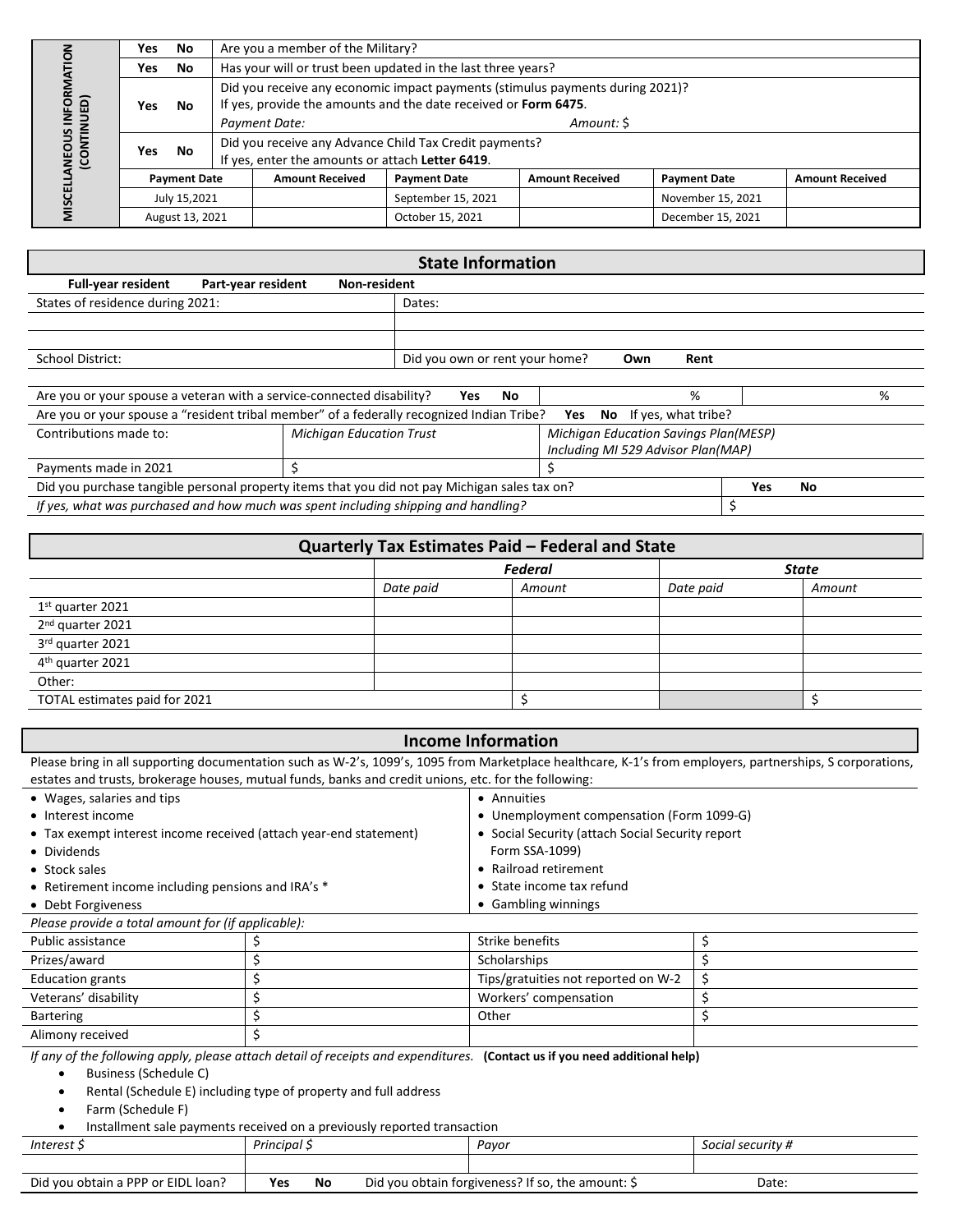|                   | Yes                                                                                                                                                           | No              |  | Are you a member of the Military?                            |                                                        |                        |                     |                        |  |  |  |  |
|-------------------|---------------------------------------------------------------------------------------------------------------------------------------------------------------|-----------------|--|--------------------------------------------------------------|--------------------------------------------------------|------------------------|---------------------|------------------------|--|--|--|--|
| ≅<br>NUED)<br>ō   | Yes                                                                                                                                                           | No              |  | Has your will or trust been updated in the last three years? |                                                        |                        |                     |                        |  |  |  |  |
|                   | Did you receive any economic impact payments (stimulus payments during 2021)?<br>If yes, provide the amounts and the date received or Form 6475.<br>No<br>Yes |                 |  |                                                              |                                                        |                        |                     |                        |  |  |  |  |
| Ξ                 |                                                                                                                                                               |                 |  | <b>Payment Date:</b>                                         |                                                        | Amount: \$             |                     |                        |  |  |  |  |
| ANEOUS<br>(CONTIN | Yes                                                                                                                                                           | No              |  |                                                              | Did you receive any Advance Child Tax Credit payments? |                        |                     |                        |  |  |  |  |
|                   |                                                                                                                                                               |                 |  | If yes, enter the amounts or attach Letter 6419.             |                                                        |                        |                     |                        |  |  |  |  |
|                   | <b>Payment Date</b>                                                                                                                                           |                 |  | <b>Amount Received</b>                                       | <b>Payment Date</b>                                    | <b>Amount Received</b> | <b>Payment Date</b> | <b>Amount Received</b> |  |  |  |  |
| <b>MISCEI</b>     |                                                                                                                                                               | July 15,2021    |  |                                                              | September 15, 2021                                     |                        | November 15, 2021   |                        |  |  |  |  |
|                   |                                                                                                                                                               | August 13, 2021 |  |                                                              | October 15, 2021                                       |                        | December 15, 2021   |                        |  |  |  |  |

|                                                                                               |                                 | <b>State Information</b>       |                                              |                     |     |    |   |
|-----------------------------------------------------------------------------------------------|---------------------------------|--------------------------------|----------------------------------------------|---------------------|-----|----|---|
| <b>Full-year resident</b><br>Part-year resident                                               | Non-resident                    |                                |                                              |                     |     |    |   |
| States of residence during 2021:                                                              |                                 | Dates:                         |                                              |                     |     |    |   |
|                                                                                               |                                 |                                |                                              |                     |     |    |   |
|                                                                                               |                                 |                                |                                              |                     |     |    |   |
| <b>School District:</b>                                                                       |                                 | Did you own or rent your home? | Own                                          | Rent                |     |    |   |
|                                                                                               |                                 |                                |                                              |                     |     |    |   |
| Are you or your spouse a veteran with a service-connected disability?                         |                                 | <b>Yes</b><br>No               |                                              | %                   |     |    | % |
| Are you or your spouse a "resident tribal member" of a federally recognized Indian Tribe?     |                                 |                                | Yes<br>No l                                  | If yes, what tribe? |     |    |   |
| Contributions made to:                                                                        | <b>Michigan Education Trust</b> |                                | <b>Michigan Education Savings Plan(MESP)</b> |                     |     |    |   |
|                                                                                               |                                 |                                | Including MI 529 Advisor Plan(MAP)           |                     |     |    |   |
| Payments made in 2021                                                                         |                                 |                                |                                              |                     |     |    |   |
| Did you purchase tangible personal property items that you did not pay Michigan sales tax on? |                                 |                                |                                              |                     | Yes | No |   |
|                                                                                               |                                 |                                |                                              |                     |     |    |   |

*If yes, what was purchased and how much was spent including shipping and handling?*  $\vert$  \$

| Quarterly Tax Estimates Paid - Federal and State |           |                |           |        |  |  |  |  |
|--------------------------------------------------|-----------|----------------|-----------|--------|--|--|--|--|
|                                                  |           | <b>Federal</b> |           | State  |  |  |  |  |
|                                                  | Date paid | Amount         | Date paid | Amount |  |  |  |  |
| $1st$ quarter 2021                               |           |                |           |        |  |  |  |  |
| 2 <sup>nd</sup> quarter 2021                     |           |                |           |        |  |  |  |  |
| 3rd quarter 2021                                 |           |                |           |        |  |  |  |  |
| 4 <sup>th</sup> quarter 2021                     |           |                |           |        |  |  |  |  |
| Other:                                           |           |                |           |        |  |  |  |  |
| TOTAL estimates paid for 2021                    |           |                |           |        |  |  |  |  |

## **Income Information**

Please bring in all supporting documentation such as W-2's, 1099's, 1095 from Marketplace healthcare, K-1's from employers, partnerships, S corporations, estates and trusts, brokerage houses, mutual funds, banks and credit unions, etc. for the following:

| • Wages, salaries and tips                                        |                                                                         | • Annuities                                                                                                                |  |  |  |  |
|-------------------------------------------------------------------|-------------------------------------------------------------------------|----------------------------------------------------------------------------------------------------------------------------|--|--|--|--|
| • Interest income                                                 |                                                                         | • Unemployment compensation (Form 1099-G)                                                                                  |  |  |  |  |
| • Tax exempt interest income received (attach year-end statement) |                                                                         | • Social Security (attach Social Security report                                                                           |  |  |  |  |
| • Dividends                                                       |                                                                         | Form SSA-1099)                                                                                                             |  |  |  |  |
| • Stock sales                                                     |                                                                         | • Railroad retirement                                                                                                      |  |  |  |  |
| • Retirement income including pensions and IRA's *                |                                                                         | • State income tax refund                                                                                                  |  |  |  |  |
| • Debt Forgiveness                                                |                                                                         | • Gambling winnings                                                                                                        |  |  |  |  |
| Please provide a total amount for (if applicable):                |                                                                         |                                                                                                                            |  |  |  |  |
| Public assistance                                                 |                                                                         | Strike benefits                                                                                                            |  |  |  |  |
| Prizes/award                                                      |                                                                         | Scholarships                                                                                                               |  |  |  |  |
| <b>Education grants</b>                                           |                                                                         | Tips/gratuities not reported on W-2                                                                                        |  |  |  |  |
| Veterans' disability                                              |                                                                         | Workers' compensation                                                                                                      |  |  |  |  |
| <b>Bartering</b>                                                  |                                                                         | Other                                                                                                                      |  |  |  |  |
| Alimony received                                                  |                                                                         |                                                                                                                            |  |  |  |  |
|                                                                   |                                                                         | If any of the following apply, please attach detail of receipts and expenditures. (Contact us if you need additional help) |  |  |  |  |
| Business (Schedule C)                                             |                                                                         |                                                                                                                            |  |  |  |  |
|                                                                   | Rental (Schedule E) including type of property and full address         |                                                                                                                            |  |  |  |  |
| Farm (Schedule F)                                                 |                                                                         |                                                                                                                            |  |  |  |  |
|                                                                   | Installment sale payments received on a previously reported transaction |                                                                                                                            |  |  |  |  |

| Interest S                         | Principal J |    | Pavor                                             | Social security # |  |
|------------------------------------|-------------|----|---------------------------------------------------|-------------------|--|
|                                    |             |    |                                                   |                   |  |
| Did you obtain a PPP or EIDL loan? | Yes         | No | Did you obtain forgiveness? If so, the amount: \$ | Date:             |  |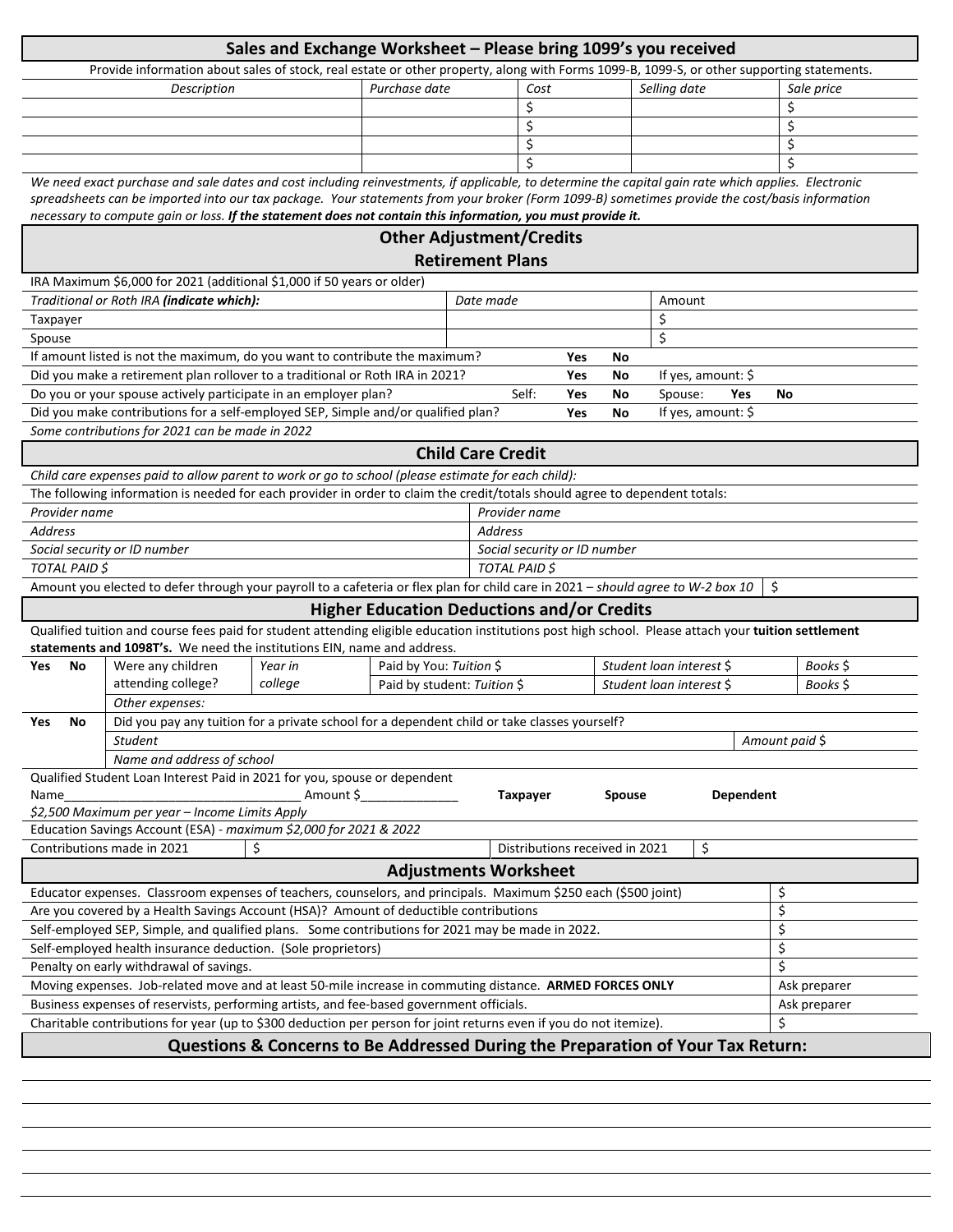|                                                                                                                                           |                                                                                                                                                                                                                                                               | Sales and Exchange Worksheet - Please bring 1099's you received                 |                                                   |                              |                                |     |            |                          |                |              |
|-------------------------------------------------------------------------------------------------------------------------------------------|---------------------------------------------------------------------------------------------------------------------------------------------------------------------------------------------------------------------------------------------------------------|---------------------------------------------------------------------------------|---------------------------------------------------|------------------------------|--------------------------------|-----|------------|--------------------------|----------------|--------------|
| Provide information about sales of stock, real estate or other property, along with Forms 1099-B, 1099-S, or other supporting statements. |                                                                                                                                                                                                                                                               |                                                                                 |                                                   |                              |                                |     |            |                          |                |              |
|                                                                                                                                           | Purchase date                                                                                                                                                                                                                                                 | Cost                                                                            |                                                   |                              | Selling date                   |     | Sale price |                          |                |              |
|                                                                                                                                           |                                                                                                                                                                                                                                                               |                                                                                 |                                                   |                              | \$                             |     |            |                          |                | \$           |
|                                                                                                                                           |                                                                                                                                                                                                                                                               |                                                                                 |                                                   |                              | \$                             |     |            |                          |                | \$           |
|                                                                                                                                           |                                                                                                                                                                                                                                                               |                                                                                 |                                                   |                              | \$                             |     |            |                          |                | \$           |
|                                                                                                                                           |                                                                                                                                                                                                                                                               |                                                                                 |                                                   |                              | Ś                              |     |            |                          |                | Ś            |
|                                                                                                                                           | We need exact purchase and sale dates and cost including reinvestments, if applicable, to determine the capital gain rate which applies. Electronic                                                                                                           |                                                                                 |                                                   |                              |                                |     |            |                          |                |              |
|                                                                                                                                           | spreadsheets can be imported into our tax package. Your statements from your broker (Form 1099-B) sometimes provide the cost/basis information<br>necessary to compute gain or loss. If the statement does not contain this information, you must provide it. |                                                                                 |                                                   |                              |                                |     |            |                          |                |              |
|                                                                                                                                           |                                                                                                                                                                                                                                                               |                                                                                 |                                                   |                              |                                |     |            |                          |                |              |
|                                                                                                                                           |                                                                                                                                                                                                                                                               |                                                                                 | <b>Other Adjustment/Credits</b>                   | <b>Retirement Plans</b>      |                                |     |            |                          |                |              |
|                                                                                                                                           | IRA Maximum \$6,000 for 2021 (additional \$1,000 if 50 years or older)                                                                                                                                                                                        |                                                                                 |                                                   |                              |                                |     |            |                          |                |              |
|                                                                                                                                           | Traditional or Roth IRA (indicate which):                                                                                                                                                                                                                     |                                                                                 |                                                   | Date made                    |                                |     |            | Amount                   |                |              |
| Taxpayer                                                                                                                                  |                                                                                                                                                                                                                                                               |                                                                                 |                                                   |                              |                                |     |            | \$                       |                |              |
| Spouse                                                                                                                                    |                                                                                                                                                                                                                                                               |                                                                                 |                                                   |                              |                                |     |            | \$                       |                |              |
|                                                                                                                                           | If amount listed is not the maximum, do you want to contribute the maximum?                                                                                                                                                                                   |                                                                                 |                                                   |                              |                                | Yes | No         |                          |                |              |
|                                                                                                                                           | Did you make a retirement plan rollover to a traditional or Roth IRA in 2021?                                                                                                                                                                                 |                                                                                 |                                                   |                              |                                | Yes | No         | If yes, amount: \$       |                |              |
|                                                                                                                                           | Do you or your spouse actively participate in an employer plan?                                                                                                                                                                                               |                                                                                 |                                                   |                              | Self:                          | Yes | No         | Spouse:                  | Yes<br>No      |              |
|                                                                                                                                           | Did you make contributions for a self-employed SEP, Simple and/or qualified plan?                                                                                                                                                                             |                                                                                 |                                                   |                              |                                | Yes | No         | If yes, amount: \$       |                |              |
|                                                                                                                                           | Some contributions for 2021 can be made in 2022                                                                                                                                                                                                               |                                                                                 |                                                   |                              |                                |     |            |                          |                |              |
|                                                                                                                                           |                                                                                                                                                                                                                                                               |                                                                                 |                                                   |                              |                                |     |            |                          |                |              |
|                                                                                                                                           |                                                                                                                                                                                                                                                               |                                                                                 |                                                   | <b>Child Care Credit</b>     |                                |     |            |                          |                |              |
|                                                                                                                                           | Child care expenses paid to allow parent to work or go to school (please estimate for each child):                                                                                                                                                            |                                                                                 |                                                   |                              |                                |     |            |                          |                |              |
|                                                                                                                                           | The following information is needed for each provider in order to claim the credit/totals should agree to dependent totals:                                                                                                                                   |                                                                                 |                                                   |                              |                                |     |            |                          |                |              |
| Provider name                                                                                                                             |                                                                                                                                                                                                                                                               |                                                                                 |                                                   |                              | Provider name                  |     |            |                          |                |              |
| <b>Address</b>                                                                                                                            |                                                                                                                                                                                                                                                               |                                                                                 |                                                   | <b>Address</b>               |                                |     |            |                          |                |              |
|                                                                                                                                           | Social security or ID number                                                                                                                                                                                                                                  |                                                                                 |                                                   |                              | Social security or ID number   |     |            |                          |                |              |
| TOTAL PAID \$                                                                                                                             |                                                                                                                                                                                                                                                               |                                                                                 |                                                   |                              | TOTAL PAID \$                  |     |            |                          |                |              |
|                                                                                                                                           | Amount you elected to defer through your payroll to a cafeteria or flex plan for child care in 2021 - should agree to W-2 box 10                                                                                                                              |                                                                                 |                                                   |                              |                                |     |            |                          | \$             |              |
|                                                                                                                                           |                                                                                                                                                                                                                                                               |                                                                                 | <b>Higher Education Deductions and/or Credits</b> |                              |                                |     |            |                          |                |              |
|                                                                                                                                           | Qualified tuition and course fees paid for student attending eligible education institutions post high school. Please attach your tuition settlement                                                                                                          |                                                                                 |                                                   |                              |                                |     |            |                          |                |              |
|                                                                                                                                           | statements and 1098T's. We need the institutions EIN, name and address.                                                                                                                                                                                       |                                                                                 |                                                   |                              |                                |     |            |                          |                |              |
| Yes<br>No                                                                                                                                 | Were any children                                                                                                                                                                                                                                             | Year in                                                                         | Paid by You: Tuition \$                           |                              |                                |     |            | Student loan interest \$ | Books \$       |              |
|                                                                                                                                           | attending college?                                                                                                                                                                                                                                            | college                                                                         | Paid by student: Tuition \$                       |                              |                                |     |            | Student loan interest \$ | Books \$       |              |
|                                                                                                                                           | Other expenses:                                                                                                                                                                                                                                               |                                                                                 |                                                   |                              |                                |     |            |                          |                |              |
| Yes<br>No                                                                                                                                 | Did you pay any tuition for a private school for a dependent child or take classes yourself?                                                                                                                                                                  |                                                                                 |                                                   |                              |                                |     |            |                          |                |              |
|                                                                                                                                           | <b>Student</b>                                                                                                                                                                                                                                                |                                                                                 |                                                   |                              |                                |     |            |                          | Amount paid \$ |              |
|                                                                                                                                           |                                                                                                                                                                                                                                                               |                                                                                 |                                                   |                              |                                |     |            |                          |                |              |
|                                                                                                                                           | Name and address of school                                                                                                                                                                                                                                    |                                                                                 |                                                   |                              |                                |     |            |                          |                |              |
|                                                                                                                                           | Qualified Student Loan Interest Paid in 2021 for you, spouse or dependent                                                                                                                                                                                     |                                                                                 |                                                   |                              |                                |     |            |                          |                |              |
| Name                                                                                                                                      |                                                                                                                                                                                                                                                               | Amount \$                                                                       |                                                   |                              | <b>Taxpayer</b>                |     | Spouse     |                          | Dependent      |              |
|                                                                                                                                           | \$2,500 Maximum per year - Income Limits Apply                                                                                                                                                                                                                |                                                                                 |                                                   |                              |                                |     |            |                          |                |              |
|                                                                                                                                           | Education Savings Account (ESA) - maximum \$2,000 for 2021 & 2022                                                                                                                                                                                             |                                                                                 |                                                   |                              |                                |     |            |                          |                |              |
|                                                                                                                                           | Contributions made in 2021                                                                                                                                                                                                                                    | \$                                                                              |                                                   |                              | Distributions received in 2021 |     |            | \$                       |                |              |
|                                                                                                                                           |                                                                                                                                                                                                                                                               |                                                                                 |                                                   | <b>Adjustments Worksheet</b> |                                |     |            |                          |                |              |
|                                                                                                                                           | Educator expenses. Classroom expenses of teachers, counselors, and principals. Maximum \$250 each (\$500 joint)                                                                                                                                               |                                                                                 |                                                   |                              |                                |     |            |                          | \$             |              |
| \$<br>Are you covered by a Health Savings Account (HSA)? Amount of deductible contributions                                               |                                                                                                                                                                                                                                                               |                                                                                 |                                                   |                              |                                |     |            |                          |                |              |
| \$<br>Self-employed SEP, Simple, and qualified plans. Some contributions for 2021 may be made in 2022.                                    |                                                                                                                                                                                                                                                               |                                                                                 |                                                   |                              |                                |     |            |                          |                |              |
| \$<br>Self-employed health insurance deduction. (Sole proprietors)                                                                        |                                                                                                                                                                                                                                                               |                                                                                 |                                                   |                              |                                |     |            |                          |                |              |
| \$<br>Penalty on early withdrawal of savings.                                                                                             |                                                                                                                                                                                                                                                               |                                                                                 |                                                   |                              |                                |     |            |                          |                |              |
| Moving expenses. Job-related move and at least 50-mile increase in commuting distance. ARMED FORCES ONLY<br>Ask preparer                  |                                                                                                                                                                                                                                                               |                                                                                 |                                                   |                              |                                |     |            |                          |                |              |
|                                                                                                                                           | Business expenses of reservists, performing artists, and fee-based government officials.                                                                                                                                                                      |                                                                                 |                                                   |                              |                                |     |            |                          |                | Ask preparer |
|                                                                                                                                           | Charitable contributions for year (up to \$300 deduction per person for joint returns even if you do not itemize).                                                                                                                                            |                                                                                 |                                                   |                              |                                |     |            |                          | \$             |              |
|                                                                                                                                           |                                                                                                                                                                                                                                                               |                                                                                 |                                                   |                              |                                |     |            |                          |                |              |
|                                                                                                                                           |                                                                                                                                                                                                                                                               | Questions & Concerns to Be Addressed During the Preparation of Your Tax Return: |                                                   |                              |                                |     |            |                          |                |              |